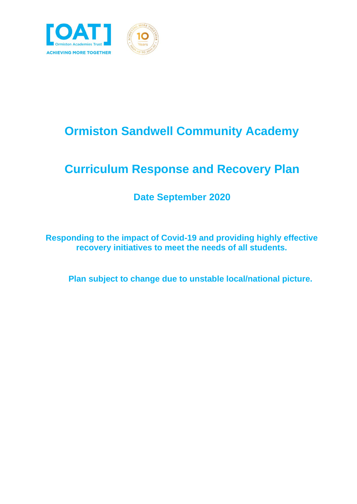

# **Ormiston Sandwell Community Academy**

# **Curriculum Response and Recovery Plan**

#### **Date September 2020**

**Responding to the impact of Covid-19 and providing highly effective recovery initiatives to meet the needs of all students.**

**Plan subject to change due to unstable local/national picture.**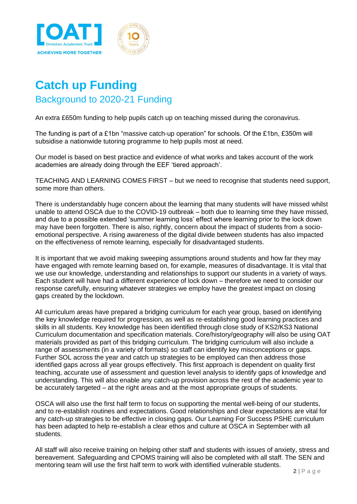

### **Catch up Funding** Background to 2020-21 Funding

An extra £650m funding to help pupils catch up on teaching missed during the coronavirus.

The funding is part of a £1bn ["massive catch-up operation"](https://www.theguardian.com/education/2020/jun/19/english-schools-to-get-1bn-to-help-pupils-catch-up-after-lockdown?CMP=Share_iOSApp_Other) for schools. Of the £1bn, £350m will subsidise a [nationwide tutoring programme](https://www.theguardian.com/education/2020/jun/17/government-to-fund-private-tutors-for-english-schools) to help pupils most at need.

Our model is based on best practice and evidence of what works and takes account of the work academies are already doing through the EEF 'tiered approach'.

TEACHING AND LEARNING COMES FIRST – but we need to recognise that students need support, some more than others.

There is understandably huge concern about the learning that many students will have missed whilst unable to attend OSCA due to the COVID-19 outbreak – both due to learning time they have missed, and due to a possible extended 'summer learning loss' effect where learning prior to the lock down may have been forgotten. There is also, rightly, concern about the impact of students from a socioemotional perspective. A rising awareness of the digital divide between students has also impacted on the effectiveness of remote learning, especially for disadvantaged students.

It is important that we avoid making sweeping assumptions around students and how far they may have engaged with remote learning based on, for example, measures of disadvantage. It is vital that we use our knowledge, understanding and relationships to support our students in a variety of ways. Each student will have had a different experience of lock down – therefore we need to consider our response carefully, ensuring whatever strategies we employ have the greatest impact on closing gaps created by the lockdown.

All curriculum areas have prepared a bridging curriculum for each year group, based on identifying the key knowledge required for progression, as well as re-establishing good learning practices and skills in all students. Key knowledge has been identified through close study of KS2/KS3 National Curriculum documentation and specification materials. Core/history/geography will also be using OAT materials provided as part of this bridging curriculum. The bridging curriculum will also include a range of assessments (in a variety of formats) so staff can identify key misconceptions or gaps. Further SOL across the year and catch up strategies to be employed can then address those identified gaps across all year groups effectively. This first approach is dependent on quality first teaching, accurate use of assessment and question level analysis to identify gaps of knowledge and understanding. This will also enable any catch-up provision across the rest of the academic year to be accurately targeted – at the right areas and at the most appropriate groups of students.

OSCA will also use the first half term to focus on supporting the mental well-being of our students, and to re-establish routines and expectations. Good relationships and clear expectations are vital for any catch-up strategies to be effective in closing gaps. Our Learning For Success PSHE curriculum has been adapted to help re-establish a clear ethos and culture at OSCA in September with all students.

All staff will also receive training on helping other staff and students with issues of anxiety, stress and bereavement. Safeguarding and CPOMS training will also be completed with all staff. The SEN and mentoring team will use the first half term to work with identified vulnerable students.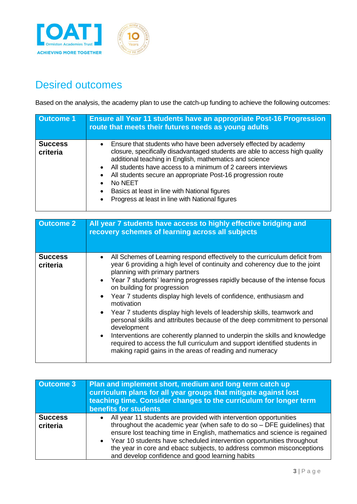

### Desired outcomes

Based on the analysis, the academy plan to use the catch-up funding to achieve the following outcomes:

| <b>Outcome 1</b>           | <b>Ensure all Year 11 students have an appropriate Post-16 Progression</b><br>route that meets their futures needs as young adults                                                                                                                                                                                                                                                                                                                                                                   |  |  |
|----------------------------|------------------------------------------------------------------------------------------------------------------------------------------------------------------------------------------------------------------------------------------------------------------------------------------------------------------------------------------------------------------------------------------------------------------------------------------------------------------------------------------------------|--|--|
| <b>Success</b><br>criteria | • Ensure that students who have been adversely effected by academy<br>closure, specifically disadvantaged students are able to access high quality<br>additional teaching in English, mathematics and science<br>All students have access to a minimum of 2 careers interviews<br>$\bullet$<br>All students secure an appropriate Post-16 progression route<br>No NEET<br>Basics at least in line with National figures<br>$\bullet$<br>Progress at least in line with National figures<br>$\bullet$ |  |  |

| <b>Outcome 2</b>           | All year 7 students have access to highly effective bridging and<br>recovery schemes of learning across all subjects                                                                                                                                                                                                                                                                                                                                                                                                                                                                                                                                                                                                                                                                                                 |  |  |
|----------------------------|----------------------------------------------------------------------------------------------------------------------------------------------------------------------------------------------------------------------------------------------------------------------------------------------------------------------------------------------------------------------------------------------------------------------------------------------------------------------------------------------------------------------------------------------------------------------------------------------------------------------------------------------------------------------------------------------------------------------------------------------------------------------------------------------------------------------|--|--|
| <b>Success</b><br>criteria | All Schemes of Learning respond effectively to the curriculum deficit from<br>$\bullet$<br>year 6 providing a high level of continuity and coherency due to the joint<br>planning with primary partners<br>• Year 7 students' learning progresses rapidly because of the intense focus<br>on building for progression<br>• Year 7 students display high levels of confidence, enthusiasm and<br>motivation<br>• Year 7 students display high levels of leadership skills, teamwork and<br>personal skills and attributes because of the deep commitment to personal<br>development<br>Interventions are coherently planned to underpin the skills and knowledge<br>$\bullet$<br>required to access the full curriculum and support identified students in<br>making rapid gains in the areas of reading and numeracy |  |  |

| <b>Outcome 3</b>           | Plan and implement short, medium and long term catch up<br>curriculum plans for all year groups that mitigate against lost<br>teaching time. Consider changes to the curriculum for longer term<br>benefits for students                                                                                                                                                                                                         |  |  |
|----------------------------|----------------------------------------------------------------------------------------------------------------------------------------------------------------------------------------------------------------------------------------------------------------------------------------------------------------------------------------------------------------------------------------------------------------------------------|--|--|
| <b>Success</b><br>criteria | All year 11 students are provided with intervention opportunities<br>throughout the academic year (when safe to do so - DFE guidelines) that<br>ensure lost teaching time in English, mathematics and science is regained<br>• Year 10 students have scheduled intervention opportunities throughout<br>the year in core and ebacc subjects, to address common misconceptions<br>and develop confidence and good learning habits |  |  |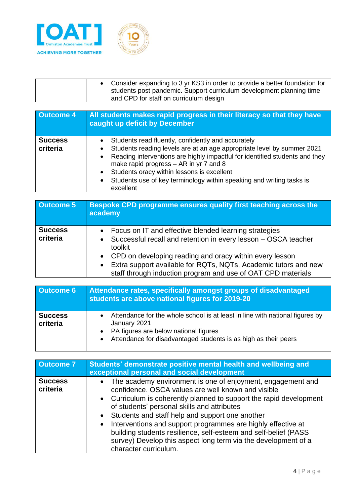

| Consider expanding to 3 yr KS3 in order to provide a better foundation for |
|----------------------------------------------------------------------------|
| students post pandemic. Support curriculum development planning time       |
| and CPD for staff on curriculum design                                     |

| <b>Outcome 4</b>           | All students makes rapid progress in their literacy so that they have<br>caught up deficit by December                                                                                                                                                                                                                                                                                                               |  |  |
|----------------------------|----------------------------------------------------------------------------------------------------------------------------------------------------------------------------------------------------------------------------------------------------------------------------------------------------------------------------------------------------------------------------------------------------------------------|--|--|
| <b>Success</b><br>criteria | Students read fluently, confidently and accurately<br>Students reading levels are at an age appropriate level by summer 2021<br>Reading interventions are highly impactful for identified students and they<br>$\bullet$<br>make rapid progress $-$ AR in yr 7 and 8<br>Students oracy within lessons is excellent<br>$\bullet$<br>Students use of key terminology within speaking and writing tasks is<br>excellent |  |  |

| <b>Outcome 5</b>           | <b>Bespoke CPD programme ensures quality first teaching across the</b><br>academy                                                                                                                                                                                                                                                        |  |  |
|----------------------------|------------------------------------------------------------------------------------------------------------------------------------------------------------------------------------------------------------------------------------------------------------------------------------------------------------------------------------------|--|--|
| <b>Success</b><br>criteria | • Focus on IT and effective blended learning strategies<br>• Successful recall and retention in every lesson - OSCA teacher<br>toolkit<br>• CPD on developing reading and oracy within every lesson<br>• Extra support available for RQTs, NQTs, Academic tutors and new<br>staff through induction program and use of OAT CPD materials |  |  |

| <b>Outcome 6</b>           | Attendance rates, specifically amongst groups of disadvantaged<br>students are above national figures for 2019-20                                                                                          |  |  |
|----------------------------|------------------------------------------------------------------------------------------------------------------------------------------------------------------------------------------------------------|--|--|
| <b>Success</b><br>criteria | Attendance for the whole school is at least in line with national figures by<br>January 2021<br>• PA figures are below national figures<br>Attendance for disadvantaged students is as high as their peers |  |  |

| <b>Outcome 7</b>           | Students' demonstrate positive mental health and wellbeing and<br>exceptional personal and social development                                                                                                                                                                                                                                                                                                                                                                                                                  |  |  |
|----------------------------|--------------------------------------------------------------------------------------------------------------------------------------------------------------------------------------------------------------------------------------------------------------------------------------------------------------------------------------------------------------------------------------------------------------------------------------------------------------------------------------------------------------------------------|--|--|
| <b>Success</b><br>criteria | • The academy environment is one of enjoyment, engagement and<br>confidence. OSCA values are well known and visible<br>• Curriculum is coherently planned to support the rapid development<br>of students' personal skills and attributes<br>• Students and staff help and support one another<br>• Interventions and support programmes are highly effective at<br>building students resilience, self-esteem and self-belief (PASS<br>survey) Develop this aspect long term via the development of a<br>character curriculum. |  |  |